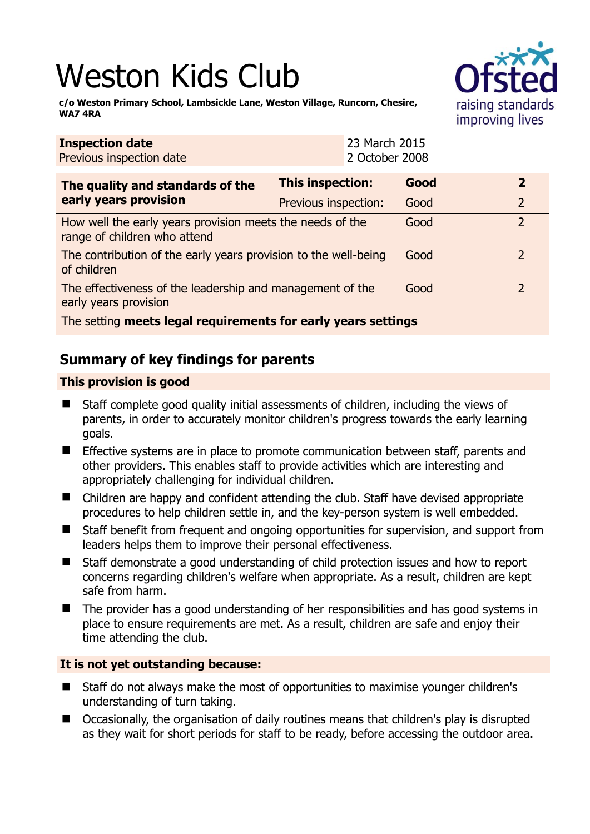# Weston Kids Club



**c/o Weston Primary School, Lambsickle Lane, Weston Village, Runcorn, Chesire, WA7 4RA** 

| 2 October 2008<br>Previous inspection date                                                |                         |      |               |
|-------------------------------------------------------------------------------------------|-------------------------|------|---------------|
| The quality and standards of the<br>early years provision                                 | <b>This inspection:</b> | Good | $\mathbf{2}$  |
|                                                                                           | Previous inspection:    | Good | 2             |
| How well the early years provision meets the needs of the<br>range of children who attend |                         | Good | $\mathcal{P}$ |
| The contribution of the early years provision to the well-being<br>of children            |                         | Good | $\mathcal{L}$ |
| The effectiveness of the leadership and management of the<br>early years provision        |                         | Good | $\mathcal{L}$ |
| The setting meets legal requirements for early years settings                             |                         |      |               |

23 March 2015

# **Summary of key findings for parents**

## **This provision is good**

**Inspection date**

- Staff complete good quality initial assessments of children, including the views of parents, in order to accurately monitor children's progress towards the early learning goals.
- **E** Effective systems are in place to promote communication between staff, parents and other providers. This enables staff to provide activities which are interesting and appropriately challenging for individual children.
- Children are happy and confident attending the club. Staff have devised appropriate procedures to help children settle in, and the key-person system is well embedded.
- Staff benefit from frequent and ongoing opportunities for supervision, and support from leaders helps them to improve their personal effectiveness.
- Staff demonstrate a good understanding of child protection issues and how to report concerns regarding children's welfare when appropriate. As a result, children are kept safe from harm.
- The provider has a good understanding of her responsibilities and has good systems in place to ensure requirements are met. As a result, children are safe and enjoy their time attending the club.

## **It is not yet outstanding because:**

- Staff do not always make the most of opportunities to maximise younger children's understanding of turn taking.
- Occasionally, the organisation of daily routines means that children's play is disrupted as they wait for short periods for staff to be ready, before accessing the outdoor area.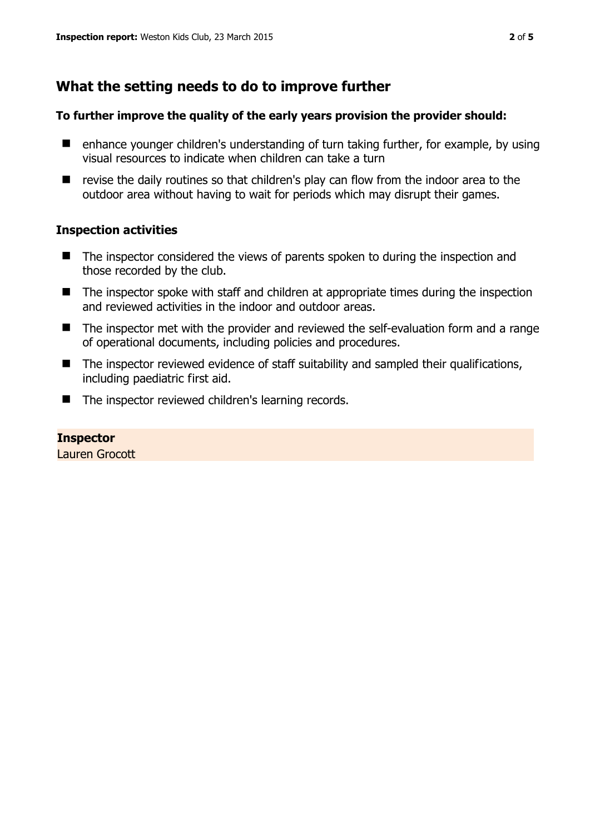# **What the setting needs to do to improve further**

#### **To further improve the quality of the early years provision the provider should:**

- $\blacksquare$  enhance younger children's understanding of turn taking further, for example, by using visual resources to indicate when children can take a turn
- $\blacksquare$  revise the daily routines so that children's play can flow from the indoor area to the outdoor area without having to wait for periods which may disrupt their games.

### **Inspection activities**

- The inspector considered the views of parents spoken to during the inspection and those recorded by the club.
- The inspector spoke with staff and children at appropriate times during the inspection and reviewed activities in the indoor and outdoor areas.
- The inspector met with the provider and reviewed the self-evaluation form and a range of operational documents, including policies and procedures.
- The inspector reviewed evidence of staff suitability and sampled their qualifications, including paediatric first aid.
- The inspector reviewed children's learning records.

#### **Inspector**  Lauren Grocott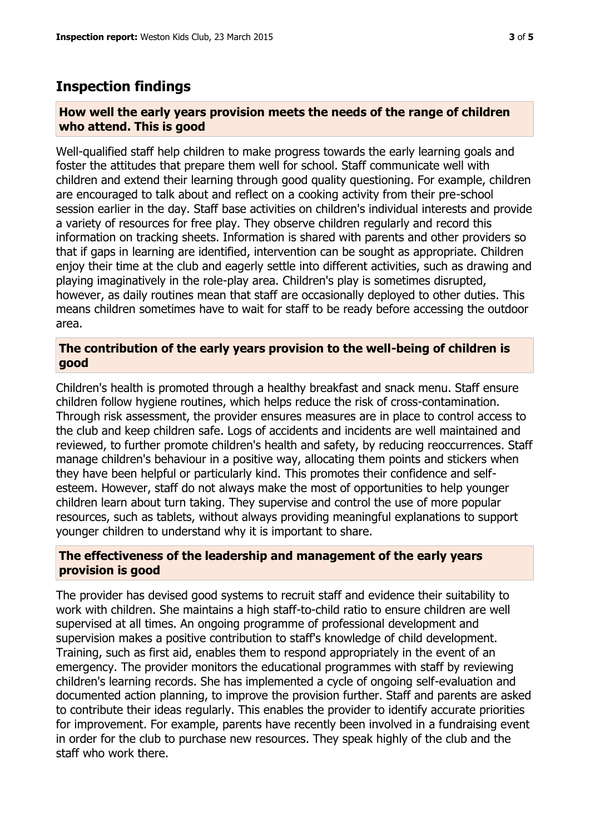## **Inspection findings**

#### **How well the early years provision meets the needs of the range of children who attend. This is good**

Well-qualified staff help children to make progress towards the early learning goals and foster the attitudes that prepare them well for school. Staff communicate well with children and extend their learning through good quality questioning. For example, children are encouraged to talk about and reflect on a cooking activity from their pre-school session earlier in the day. Staff base activities on children's individual interests and provide a variety of resources for free play. They observe children regularly and record this information on tracking sheets. Information is shared with parents and other providers so that if gaps in learning are identified, intervention can be sought as appropriate. Children enjoy their time at the club and eagerly settle into different activities, such as drawing and playing imaginatively in the role-play area. Children's play is sometimes disrupted, however, as daily routines mean that staff are occasionally deployed to other duties. This means children sometimes have to wait for staff to be ready before accessing the outdoor area.

#### **The contribution of the early years provision to the well-being of children is good**

Children's health is promoted through a healthy breakfast and snack menu. Staff ensure children follow hygiene routines, which helps reduce the risk of cross-contamination. Through risk assessment, the provider ensures measures are in place to control access to the club and keep children safe. Logs of accidents and incidents are well maintained and reviewed, to further promote children's health and safety, by reducing reoccurrences. Staff manage children's behaviour in a positive way, allocating them points and stickers when they have been helpful or particularly kind. This promotes their confidence and selfesteem. However, staff do not always make the most of opportunities to help younger children learn about turn taking. They supervise and control the use of more popular resources, such as tablets, without always providing meaningful explanations to support younger children to understand why it is important to share.

#### **The effectiveness of the leadership and management of the early years provision is good**

The provider has devised good systems to recruit staff and evidence their suitability to work with children. She maintains a high staff-to-child ratio to ensure children are well supervised at all times. An ongoing programme of professional development and supervision makes a positive contribution to staff's knowledge of child development. Training, such as first aid, enables them to respond appropriately in the event of an emergency. The provider monitors the educational programmes with staff by reviewing children's learning records. She has implemented a cycle of ongoing self-evaluation and documented action planning, to improve the provision further. Staff and parents are asked to contribute their ideas regularly. This enables the provider to identify accurate priorities for improvement. For example, parents have recently been involved in a fundraising event in order for the club to purchase new resources. They speak highly of the club and the staff who work there.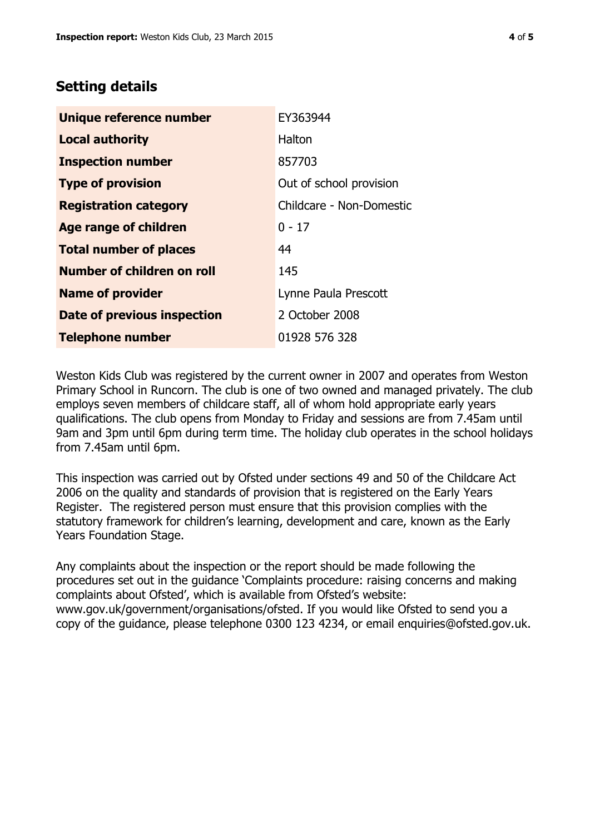# **Setting details**

| Unique reference number       | EY363944                 |  |
|-------------------------------|--------------------------|--|
| <b>Local authority</b>        | Halton                   |  |
| <b>Inspection number</b>      | 857703                   |  |
| <b>Type of provision</b>      | Out of school provision  |  |
| <b>Registration category</b>  | Childcare - Non-Domestic |  |
| <b>Age range of children</b>  | $0 - 17$                 |  |
| <b>Total number of places</b> | 44                       |  |
| Number of children on roll    | 145                      |  |
| <b>Name of provider</b>       | Lynne Paula Prescott     |  |
| Date of previous inspection   | 2 October 2008           |  |
| <b>Telephone number</b>       | 01928 576 328            |  |

Weston Kids Club was registered by the current owner in 2007 and operates from Weston Primary School in Runcorn. The club is one of two owned and managed privately. The club employs seven members of childcare staff, all of whom hold appropriate early years qualifications. The club opens from Monday to Friday and sessions are from 7.45am until 9am and 3pm until 6pm during term time. The holiday club operates in the school holidays from 7.45am until 6pm.

This inspection was carried out by Ofsted under sections 49 and 50 of the Childcare Act 2006 on the quality and standards of provision that is registered on the Early Years Register. The registered person must ensure that this provision complies with the statutory framework for children's learning, development and care, known as the Early Years Foundation Stage.

Any complaints about the inspection or the report should be made following the procedures set out in the guidance 'Complaints procedure: raising concerns and making complaints about Ofsted', which is available from Ofsted's website: www.gov.uk/government/organisations/ofsted. If you would like Ofsted to send you a copy of the guidance, please telephone 0300 123 4234, or email enquiries@ofsted.gov.uk.